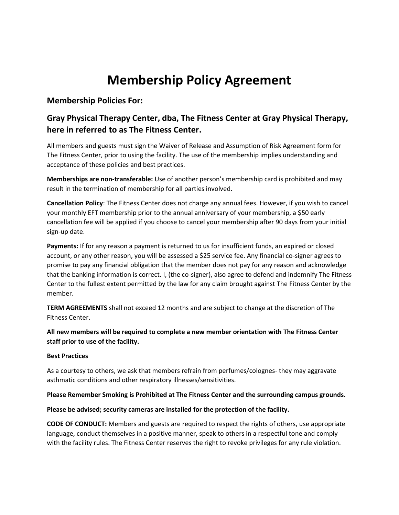# **Membership Policy Agreement**

### **Membership Policies For:**

### **Gray Physical Therapy Center, dba, The Fitness Center at Gray Physical Therapy, here in referred to as The Fitness Center.**

All members and guests must sign the Waiver of Release and Assumption of Risk Agreement form for The Fitness Center, prior to using the facility. The use of the membership implies understanding and acceptance of these policies and best practices.

**Memberships are non-transferable:** Use of another person's membership card is prohibited and may result in the termination of membership for all parties involved.

**Cancellation Policy**: The Fitness Center does not charge any annual fees. However, if you wish to cancel your monthly EFT membership prior to the annual anniversary of your membership, a \$50 early cancellation fee will be applied if you choose to cancel your membership after 90 days from your initial sign-up date.

**Payments:** If for any reason a payment is returned to us for insufficient funds, an expired or closed account, or any other reason, you will be assessed a \$25 service fee. Any financial co-signer agrees to promise to pay any financial obligation that the member does not pay for any reason and acknowledge that the banking information is correct. I, (the co-signer), also agree to defend and indemnify The Fitness Center to the fullest extent permitted by the law for any claim brought against The Fitness Center by the member.

**TERM AGREEMENTS** shall not exceed 12 months and are subject to change at the discretion of The Fitness Center.

**All new members will be required to complete a new member orientation with The Fitness Center staff prior to use of the facility.** 

### **Best Practices**

As a courtesy to others, we ask that members refrain from perfumes/colognes- they may aggravate asthmatic conditions and other respiratory illnesses/sensitivities.

### **Please Remember Smoking is Prohibited at The Fitness Center and the surrounding campus grounds.**

### **Please be advised; security cameras are installed for the protection of the facility.**

**CODE OF CONDUCT:** Members and guests are required to respect the rights of others, use appropriate language, conduct themselves in a positive manner, speak to others in a respectful tone and comply with the facility rules. The Fitness Center reserves the right to revoke privileges for any rule violation.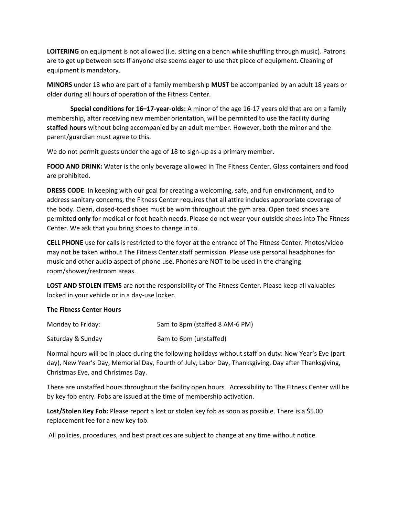**LOITERING** on equipment is not allowed (i.e. sitting on a bench while shuffling through music). Patrons are to get up between sets If anyone else seems eager to use that piece of equipment. Cleaning of equipment is mandatory.

**MINORS** under 18 who are part of a family membership **MUST** be accompanied by an adult 18 years or older during all hours of operation of the Fitness Center.

**Special conditions for 16–17-year-olds:** A minor of the age 16-17 years old that are on a family membership, after receiving new member orientation, will be permitted to use the facility during **staffed hours** without being accompanied by an adult member. However, both the minor and the parent/guardian must agree to this.

We do not permit guests under the age of 18 to sign-up as a primary member.

**FOOD AND DRINK:** Water is the only beverage allowed in The Fitness Center. Glass containers and food are prohibited.

**DRESS CODE**: In keeping with our goal for creating a welcoming, safe, and fun environment, and to address sanitary concerns, the Fitness Center requires that all attire includes appropriate coverage of the body. Clean, closed-toed shoes must be worn throughout the gym area. Open toed shoes are permitted **only** for medical or foot health needs. Please do not wear your outside shoes into The Fitness Center. We ask that you bring shoes to change in to.

**CELL PHONE** use for calls is restricted to the foyer at the entrance of The Fitness Center. Photos/video may not be taken without The Fitness Center staff permission. Please use personal headphones for music and other audio aspect of phone use. Phones are NOT to be used in the changing room/shower/restroom areas.

**LOST AND STOLEN ITEMS** are not the responsibility of The Fitness Center. Please keep all valuables locked in your vehicle or in a day-use locker.

### **The Fitness Center Hours**

| Monday to Friday: | 5am to 8pm (staffed 8 AM-6 PM) |
|-------------------|--------------------------------|
| Saturday & Sunday | 6am to 6pm (unstaffed)         |

Normal hours will be in place during the following holidays without staff on duty: New Year's Eve (part day), New Year's Day, Memorial Day, Fourth of July, Labor Day, Thanksgiving, Day after Thanksgiving, Christmas Eve, and Christmas Day.

There are unstaffed hours throughout the facility open hours. Accessibility to The Fitness Center will be by key fob entry. Fobs are issued at the time of membership activation.

**Lost/Stolen Key Fob:** Please report a lost or stolen key fob as soon as possible. There is a \$5.00 replacement fee for a new key fob.

All policies, procedures, and best practices are subject to change at any time without notice.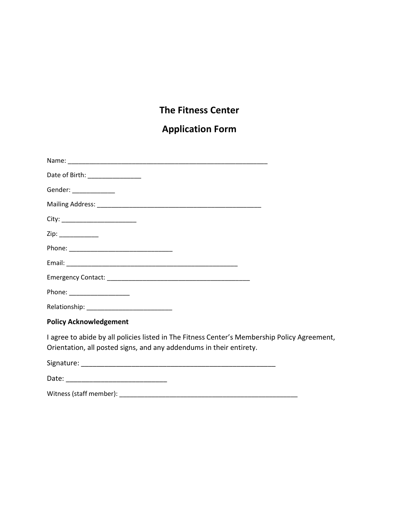### **The Fitness Center**

# **Application Form**

| Date of Birth: __________________                                                                                                                                   |  |
|---------------------------------------------------------------------------------------------------------------------------------------------------------------------|--|
| Gender: _____________                                                                                                                                               |  |
|                                                                                                                                                                     |  |
|                                                                                                                                                                     |  |
|                                                                                                                                                                     |  |
|                                                                                                                                                                     |  |
|                                                                                                                                                                     |  |
|                                                                                                                                                                     |  |
| Phone: ___________________                                                                                                                                          |  |
|                                                                                                                                                                     |  |
| <b>Policy Acknowledgement</b>                                                                                                                                       |  |
| I agree to abide by all policies listed in The Fitness Center's Membership Policy Agreement,<br>Orientation, all posted signs, and any addendums in their entirety. |  |
|                                                                                                                                                                     |  |

Date: \_\_\_\_\_\_\_\_\_\_\_\_\_\_\_\_\_\_\_\_\_\_\_\_\_\_

Witness (staff member): \_\_\_\_\_\_\_\_\_\_\_\_\_\_\_\_\_\_\_\_\_\_\_\_\_\_\_\_\_\_\_\_\_\_\_\_\_\_\_\_\_\_\_\_\_\_\_\_\_\_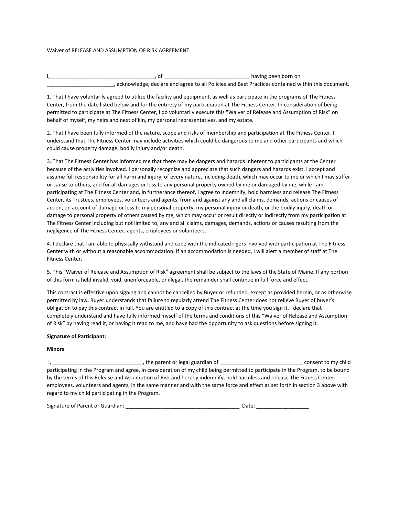#### Waiver of RELEASE AND ASSUMPTION OF RISK AGREEMENT

|  | , having been born on                                                                               |
|--|-----------------------------------------------------------------------------------------------------|
|  | , acknowledge, declare and agree to all Policies and Best Practices contained within this document. |

1. That I have voluntarily agreed to utilize the facility and equipment, as well as participate in the programs of The Fitness Center, from the date listed below and for the entirety of my participation at The Fitness Center. In consideration of being permitted to participate at The Fitness Center, I do voluntarily execute this "Waiver of Release and Assumption of Risk" on behalf of myself, my heirs and next of kin, my personal representatives, and my estate.

2. That I have been fully informed of the nature, scope and risks of membership and participation at The Fitness Center. I understand that The Fitness Center may include activities which could be dangerous to me and other participants and which could cause property damage, bodily injury and/or death.

3. That The Fitness Center has informed me that there may be dangers and hazards inherent to participants at the Center because of the activities involved. I personally recognize and appreciate that such dangers and hazards exist. I accept and assume full responsibility for all harm and injury, of every nature, including death, which may occur to me or which I may suffer or cause to others, and for all damages or loss to any personal property owned by me or damaged by me, while I am participating at The Fitness Center and, in furtherance thereof, I agree to indemnify, hold harmless and release The Fitness Center, its Trustees, employees, volunteers and agents, from and against any and all claims, demands, actions or causes of action, on account of damage or loss to my personal property, my personal injury or death, or the bodily injury, death or damage to personal property of others caused by me, which may occur or result directly or indirectly from my participation at The Fitness Center including but not limited to, any and all claims, damages, demands, actions or causes resulting from the negligence of The Fitness Center, agents, employees or volunteers.

4. I declare that I am able to physically withstand and cope with the indicated rigors involved with participation at The Fitness Center with or without a reasonable accommodation. If an accommodation is needed, I will alert a member of staff at The Fitness Center.

5. This "Waiver of Release and Assumption of Risk" agreement shall be subject to the laws of the State of Maine. If any portion of this form is held invalid, void, unenforceable, or illegal, the remainder shall continue in full force and effect.

This contract is effective upon signing and cannot be cancelled by Buyer or refunded, except as provided herein, or as otherwise permitted by law. Buyer understands that failure to regularly attend The Fitness Center does not relieve Buyer of buyer's obligation to pay this contract in full. You are entitled to a copy of this contract at the time you sign it. I declare that I completely understand and have fully informed myself of the terms and conditions of this "Waiver of Release and Assumption of Risk" by having read it, or having it read to me, and have had the opportunity to ask questions before signing it.

#### **Signature of Participant:** \_\_\_\_\_\_\_\_\_\_\_\_\_\_\_\_\_\_\_\_\_\_\_\_\_\_\_\_\_\_\_\_\_\_\_\_\_\_\_\_\_\_\_\_\_\_\_\_\_\_

#### **Minors**

| , the parent or legal guardian of                                                                                               | consent to my child |
|---------------------------------------------------------------------------------------------------------------------------------|---------------------|
| participating in the Program and agree, in consideration of my child being permitted to participate in the Program, to be bound |                     |
| by the terms of this Release and Assumption of Risk and hereby indemnify, hold harmless and release The Fitness Center          |                     |
| employees, volunteers and agents, in the same manner and with the same force and effect as set forth in section 3 above with    |                     |
| regard to my child participating in the Program.                                                                                |                     |

Signature of Parent or Guardian: \_\_\_\_\_\_

| . Date: |  |  |  |  |
|---------|--|--|--|--|
|         |  |  |  |  |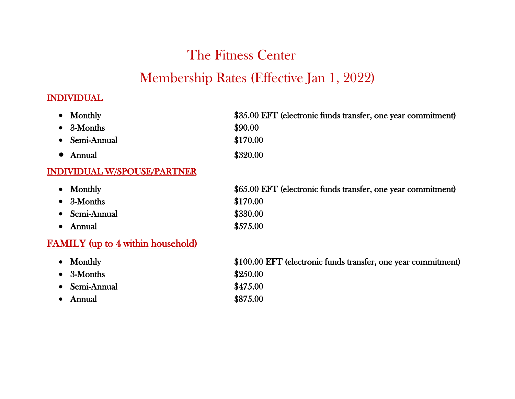# The Fitness Center Membership Rates (Effective Jan 1, 2022)

# INDIVIDUAL

| Monthly                                  | \$35.00 EFT (electronic funds transfer, one year commitment)  |
|------------------------------------------|---------------------------------------------------------------|
| 3-Months                                 | \$90.00                                                       |
| Semi-Annual<br>$\bullet$                 | \$170.00                                                      |
| Annual<br>$\bullet$                      | \$320.00                                                      |
| <b>INDIVIDUAL W/SPOUSE/PARTNER</b>       |                                                               |
| Monthly                                  | \$65.00 EFT (electronic funds transfer, one year commitment)  |
| 3-Months                                 | \$170.00                                                      |
| Semi-Annual                              | \$330.00                                                      |
| Annual<br>$\bullet$                      | \$575.00                                                      |
| <b>FAMILY</b> (up to 4 within household) |                                                               |
| Monthly                                  | \$100.00 EFT (electronic funds transfer, one year commitment) |
| 3-Months                                 | \$250.00                                                      |
| Semi-Annual                              | \$475.00                                                      |
| Annual                                   | \$875.00                                                      |
|                                          |                                                               |